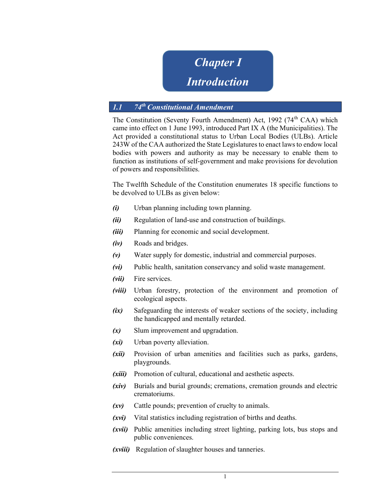Chapter I

# Introduction

# 1.1 74<sup>th</sup> Constitutional Amendment

The Constitution (Seventy Fourth Amendment) Act, 1992 (74<sup>th</sup> CAA) which came into effect on 1 June 1993, introduced Part IX A (the Municipalities). The Act provided a constitutional status to Urban Local Bodies (ULBs). Article 243W of the CAA authorized the State Legislatures to enact laws to endow local bodies with powers and authority as may be necessary to enable them to function as institutions of self-government and make provisions for devolution of powers and responsibilities.

The Twelfth Schedule of the Constitution enumerates 18 specific functions to be devolved to ULBs as given below:

- (i) Urban planning including town planning.
- (ii) Regulation of land-use and construction of buildings.
- (*iii*) Planning for economic and social development.
- (iv) Roads and bridges.
- (v) Water supply for domestic, industrial and commercial purposes.
- (vi) Public health, sanitation conservancy and solid waste management.
- (*vii*) Fire services.
- (viii) Urban forestry, protection of the environment and promotion of ecological aspects.
- (ix) Safeguarding the interests of weaker sections of the society, including the handicapped and mentally retarded.
- (x) Slum improvement and upgradation.
- (xi) Urban poverty alleviation.
- (xii) Provision of urban amenities and facilities such as parks, gardens, playgrounds.
- (xiii) Promotion of cultural, educational and aesthetic aspects.
- (xiv) Burials and burial grounds; cremations, cremation grounds and electric crematoriums.
- (xv) Cattle pounds; prevention of cruelty to animals.
- (xvi) Vital statistics including registration of births and deaths.
- (xvii) Public amenities including street lighting, parking lots, bus stops and public conveniences.
- (xviii) Regulation of slaughter houses and tanneries.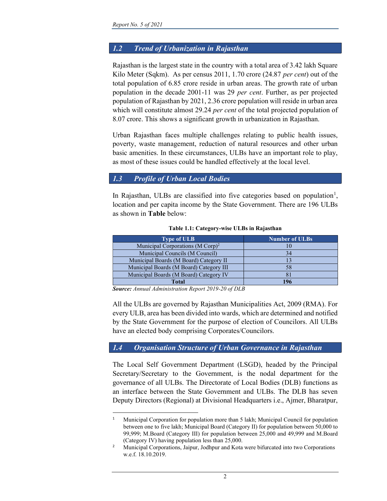## 1.2 Trend of Urbanization in Rajasthan

Rajasthan is the largest state in the country with a total area of 3.42 lakh Square Kilo Meter (Sqkm). As per census 2011, 1.70 crore (24.87 per cent) out of the total population of 6.85 crore reside in urban areas. The growth rate of urban population in the decade 2001-11 was 29 per cent. Further, as per projected population of Rajasthan by 2021, 2.36 crore population will reside in urban area which will constitute almost 29.24 *per cent* of the total projected population of 8.07 crore. This shows a significant growth in urbanization in Rajasthan.

Urban Rajasthan faces multiple challenges relating to public health issues, poverty, waste management, reduction of natural resources and other urban basic amenities. In these circumstances, ULBs have an important role to play, as most of these issues could be handled effectively at the local level.

### 1.3 Profile of Urban Local Bodies

In Rajasthan, ULBs are classified into five categories based on population<sup>1</sup>, location and per capita income by the State Government. There are 196 ULBs as shown in Table below:

| <b>Type of ULB</b>                              | <b>Number of ULBs</b> |
|-------------------------------------------------|-----------------------|
| Municipal Corporations ( $M$ Corp) <sup>2</sup> |                       |
| Municipal Councils (M Council)                  | 34                    |
| Municipal Boards (M Board) Category II          | 13                    |
| Municipal Boards (M Board) Category III         | 58                    |
| Municipal Boards (M Board) Category IV          | 81                    |
| Total                                           | 106                   |

#### Table 1.1: Category-wise ULBs in Rajasthan

Source: Annual Administration Report 2019-20 of DLB

All the ULBs are governed by Rajasthan Municipalities Act, 2009 (RMA). For every ULB, area has been divided into wards, which are determined and notified by the State Government for the purpose of election of Councilors. All ULBs have an elected body comprising Corporates/Councilors.

### 1.4 Organisation Structure of Urban Governance in Rajasthan

The Local Self Government Department (LSGD), headed by the Principal Secretary/Secretary to the Government, is the nodal department for the governance of all ULBs. The Directorate of Local Bodies (DLB) functions as an interface between the State Government and ULBs. The DLB has seven Deputy Directors (Regional) at Divisional Headquarters i.e., Ajmer, Bharatpur,

<sup>&</sup>lt;sup>1</sup> Municipal Corporation for population more than 5 lakh; Municipal Council for population between one to five lakh; Municipal Board (Category II) for population between 50,000 to 99,999; M.Board (Category III) for population between 25,000 and 49,999 and M.Board (Category IV) having population less than 25,000.

<sup>&</sup>lt;sup>2</sup> Municipal Corporations, Jaipur, Jodhpur and Kota were bifurcated into two Corporations w.e.f. 18.10.2019.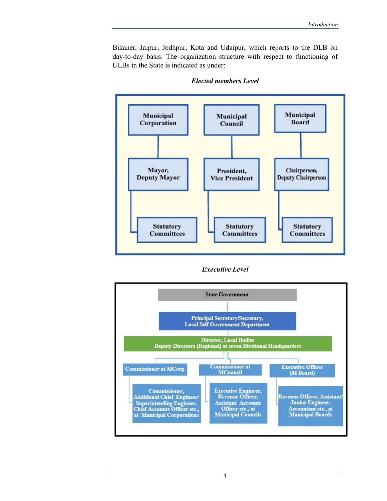Bikaner, Jaipur, Jodhpur, Kota and Udaipur, which reports to the DLB on day-to-day basis. The organization structure with respect to functioning of ULBs in the State is indicated as under:



#### Elected members Level

Executive Level